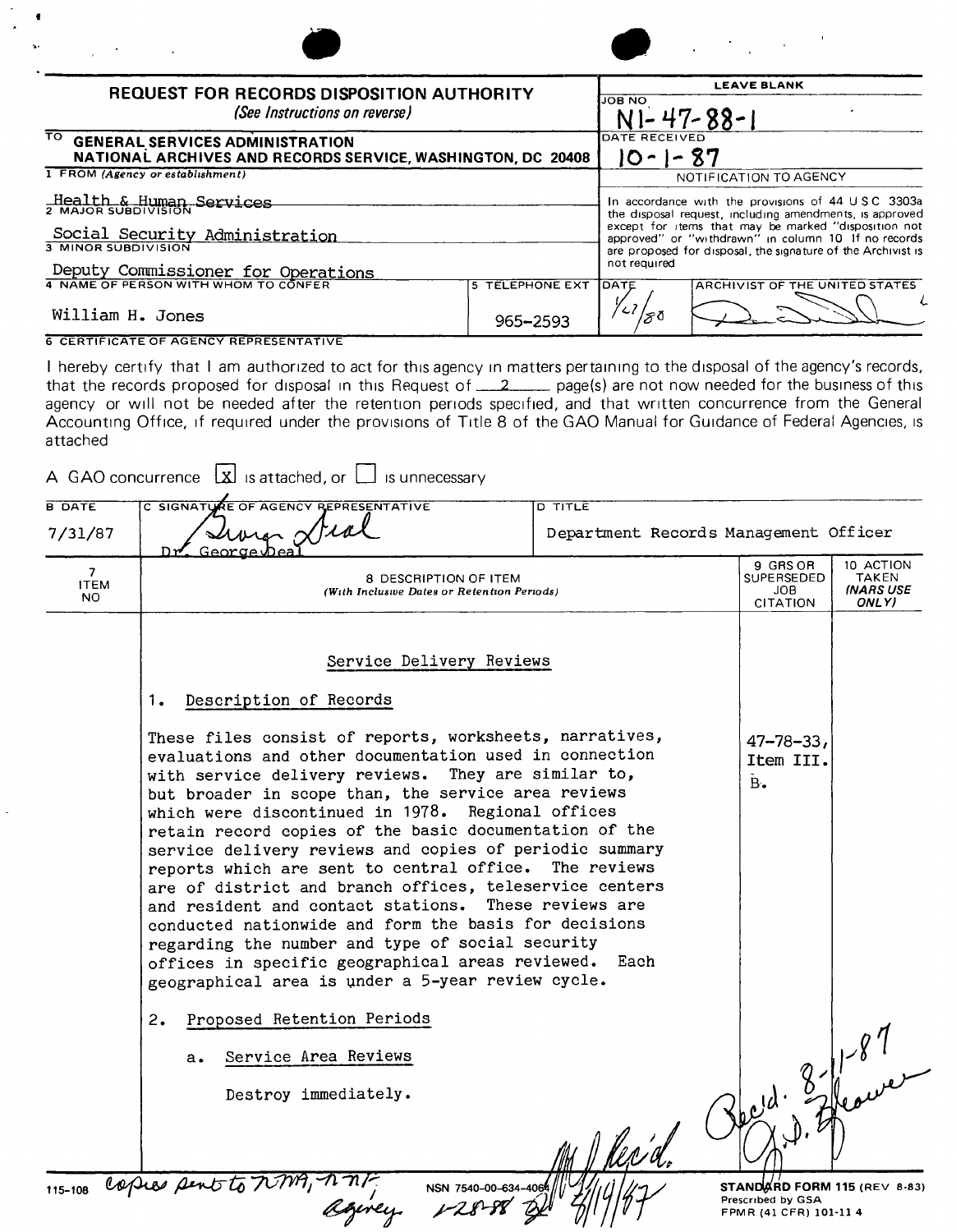| professional control                                                                                        | $\mathcal{L}_{\text{max}}$ and $\mathcal{L}_{\text{max}}$ and $\mathcal{L}_{\text{max}}$                                                                                                                                                                                                    |                                                |  |
|-------------------------------------------------------------------------------------------------------------|---------------------------------------------------------------------------------------------------------------------------------------------------------------------------------------------------------------------------------------------------------------------------------------------|------------------------------------------------|--|
| <b>REQUEST FOR RECORDS DISPOSITION AUTHORITY</b><br>(See Instructions on reverse)                           | <b>LEAVE BLANK</b><br><b>JOB NO</b><br>$N1 - 47 - 88 - 1$<br>DATE RECEIVED<br>10-1-87                                                                                                                                                                                                       |                                                |  |
| ा०<br><b>GENERAL SERVICES ADMINISTRATION</b><br>NATIONAL ARCHIVES AND RECORDS SERVICE, WASHINGTON, DC 20408 |                                                                                                                                                                                                                                                                                             |                                                |  |
| 1 FROM (Agency or establishment)                                                                            | NOTIFICATION TO AGENCY                                                                                                                                                                                                                                                                      |                                                |  |
| Health & Human Services<br>Social Security Administration                                                   | In accordance with the provisions of 44 USC 3303a<br>the disposal request, including amendments, is approved<br>except for items that may be marked "disposition not<br>approved" or "withdrawn" in column 10 If no records<br>are proposed for disposal, the signature of the Archivist is |                                                |  |
| 3 MINOR SUBDIVISION                                                                                         |                                                                                                                                                                                                                                                                                             |                                                |  |
| Deputy Commissioner for Operations                                                                          |                                                                                                                                                                                                                                                                                             | not required                                   |  |
| 4 NAME OF PERSON WITH WHOM TO CONFER                                                                        | <b>5 TELEPHONE EXT</b>                                                                                                                                                                                                                                                                      | <b>TOATE</b><br>ARCHIVIST OF THE UNITED STATES |  |
| William H. Jones                                                                                            | 965-2593                                                                                                                                                                                                                                                                                    | ≫ຽ                                             |  |
| <b>6 CERTIFICATE OF AGENCY REPRESENTATIVE</b>                                                               |                                                                                                                                                                                                                                                                                             |                                                |  |

I hereby certify that I am authorized to act for this agency In matters pertaining to the disposal of the agency's records, that the records proposed for disposal in this Request of \_\_\_2\_\_\_\_ page(s) are not now needed for the business of this agency or will not be needed after the retention penods specified, and that written concurrence from the General Accounting Office, if required under the provisions of Title 8 of the GAO Manual for Guidance of Federal Agencies, is attached

|                                            | C SIGNATURE OF AGENCY REPRESENTATIVE<br><b>D TITLE</b>                                                                                                                                                                                                                                                                                                                                                                                                                                                                                                                                                                                                                                                                                                                                                      |                                                  |                                                 |  |  |  |
|--------------------------------------------|-------------------------------------------------------------------------------------------------------------------------------------------------------------------------------------------------------------------------------------------------------------------------------------------------------------------------------------------------------------------------------------------------------------------------------------------------------------------------------------------------------------------------------------------------------------------------------------------------------------------------------------------------------------------------------------------------------------------------------------------------------------------------------------------------------------|--------------------------------------------------|-------------------------------------------------|--|--|--|
| 7/31/87                                    | wie stral                                                                                                                                                                                                                                                                                                                                                                                                                                                                                                                                                                                                                                                                                                                                                                                                   | Department Records Management Officer            |                                                 |  |  |  |
| $\overline{7}$<br><b>ITEM</b><br><b>NO</b> | Georges<br>₩⊓<br>8 DESCRIPTION OF ITEM<br>(With Inclusive Dates or Retention Periods)                                                                                                                                                                                                                                                                                                                                                                                                                                                                                                                                                                                                                                                                                                                       | 9 GRS OR<br>SUPERSEDED<br>JOB<br><b>CITATION</b> | 10 ACTION<br>TAKEN<br><b>INARS USE</b><br>ONLY) |  |  |  |
|                                            | Service Delivery Reviews                                                                                                                                                                                                                                                                                                                                                                                                                                                                                                                                                                                                                                                                                                                                                                                    |                                                  |                                                 |  |  |  |
|                                            | Description of Records<br>1.                                                                                                                                                                                                                                                                                                                                                                                                                                                                                                                                                                                                                                                                                                                                                                                |                                                  |                                                 |  |  |  |
|                                            | These files consist of reports, worksheets, narratives,<br>evaluations and other documentation used in connection<br>with service delivery reviews. They are similar to,<br>but broader in scope than, the service area reviews<br>which were discontinued in 1978. Regional offices<br>retain record copies of the basic documentation of the<br>service delivery reviews and copies of periodic summary<br>reports which are sent to central office. The reviews<br>are of district and branch offices, teleservice centers<br>and resident and contact stations. These reviews are<br>conducted nationwide and form the basis for decisions<br>regarding the number and type of social security<br>offices in specific geographical areas reviewed.<br>geographical area is under a 5-year review cycle. | $47 - 78 - 33$<br>Item III.<br>$B$ .<br>Each     |                                                 |  |  |  |
|                                            | Proposed Retention Periods<br>2.                                                                                                                                                                                                                                                                                                                                                                                                                                                                                                                                                                                                                                                                                                                                                                            | Oped. 3-11-87                                    |                                                 |  |  |  |
|                                            | Service Area Reviews<br>а.                                                                                                                                                                                                                                                                                                                                                                                                                                                                                                                                                                                                                                                                                                                                                                                  |                                                  |                                                 |  |  |  |
|                                            | Destroy immediately.                                                                                                                                                                                                                                                                                                                                                                                                                                                                                                                                                                                                                                                                                                                                                                                        |                                                  |                                                 |  |  |  |